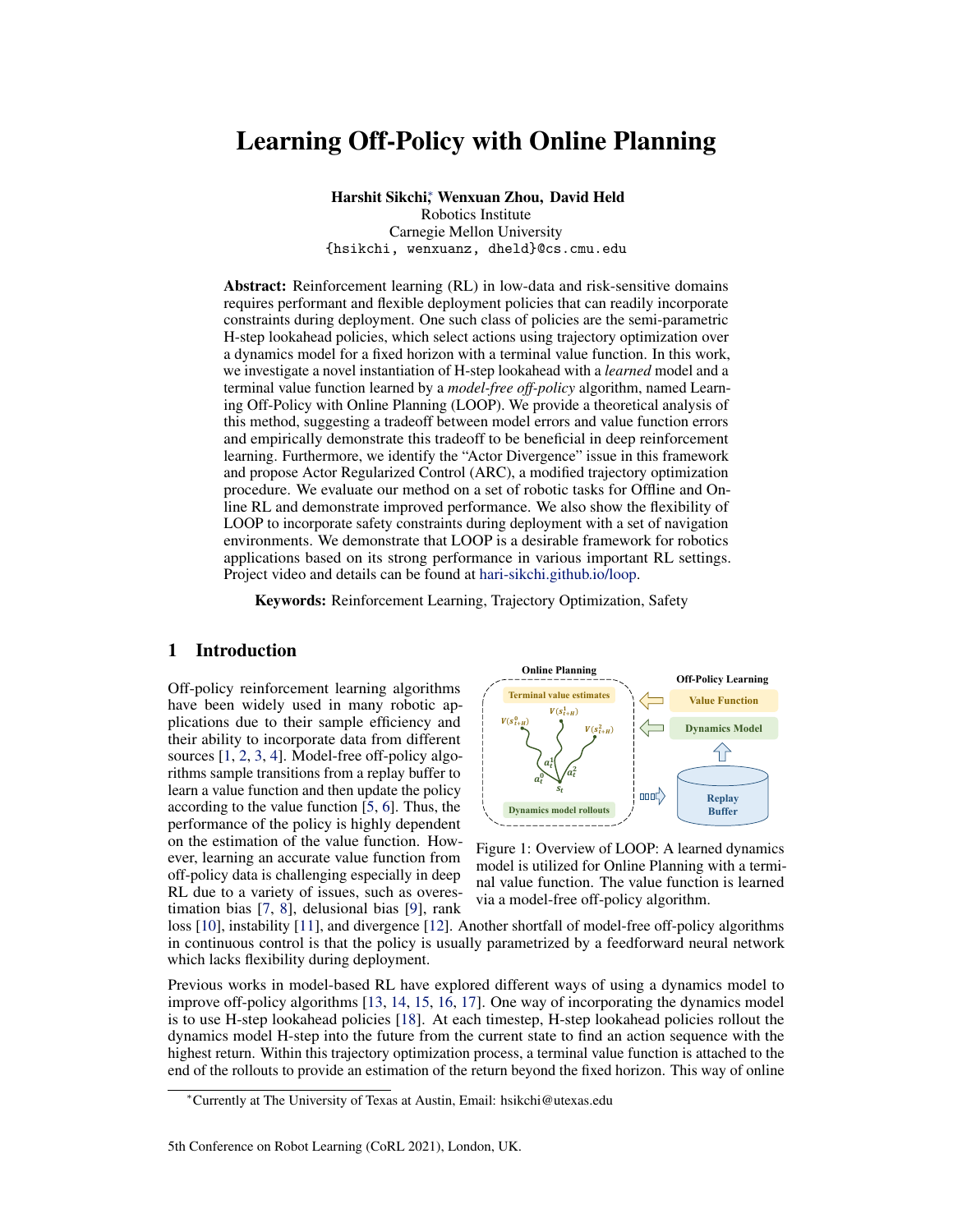# Learning Off-Policy with Online Planning

Harshit Sikchi<sup>∗</sup> , Wenxuan Zhou, David Held

Robotics Institute Carnegie Mellon University {hsikchi, wenxuanz, dheld}@cs.cmu.edu

Abstract: Reinforcement learning (RL) in low-data and risk-sensitive domains requires performant and flexible deployment policies that can readily incorporate constraints during deployment. One such class of policies are the semi-parametric H-step lookahead policies, which select actions using trajectory optimization over a dynamics model for a fixed horizon with a terminal value function. In this work, we investigate a novel instantiation of H-step lookahead with a *learned* model and a terminal value function learned by a *model-free off-policy* algorithm, named Learning Off-Policy with Online Planning (LOOP). We provide a theoretical analysis of this method, suggesting a tradeoff between model errors and value function errors and empirically demonstrate this tradeoff to be beneficial in deep reinforcement learning. Furthermore, we identify the "Actor Divergence" issue in this framework and propose Actor Regularized Control (ARC), a modified trajectory optimization procedure. We evaluate our method on a set of robotic tasks for Offline and Online RL and demonstrate improved performance. We also show the flexibility of LOOP to incorporate safety constraints during deployment with a set of navigation environments. We demonstrate that LOOP is a desirable framework for robotics applications based on its strong performance in various important RL settings. Project video and details can be found at hari-sikchi.github.io/loop.

Keywords: Reinforcement Learning, Trajectory Optimization, Safety

# 1 Introduction

Off-policy reinforcement learning algorithms have been widely used in many robotic applications due to their sample efficiency and their ability to incorporate data from different sources [1, 2, 3, 4]. Model-free off-policy algorithms sample transitions from a replay buffer to learn a value function and then update the policy according to the value function [5, 6]. Thus, the performance of the policy is highly dependent on the estimation of the value function. However, learning an accurate value function from off-policy data is challenging especially in deep RL due to a variety of issues, such as overestimation bias [7, 8], delusional bias [9], rank



Figure 1: Overview of LOOP: A learned dynamics model is utilized for Online Planning with a terminal value function. The value function is learned via a model-free off-policy algorithm.

loss [10], instability [11], and divergence [12]. Another shortfall of model-free off-policy algorithms in continuous control is that the policy is usually parametrized by a feedforward neural network which lacks flexibility during deployment.

Previous works in model-based RL have explored different ways of using a dynamics model to improve off-policy algorithms [13, 14, 15, 16, 17]. One way of incorporating the dynamics model is to use H-step lookahead policies [18]. At each timestep, H-step lookahead policies rollout the dynamics model H-step into the future from the current state to find an action sequence with the highest return. Within this trajectory optimization process, a terminal value function is attached to the end of the rollouts to provide an estimation of the return beyond the fixed horizon. This way of online

<sup>∗</sup>Currently at The University of Texas at Austin, Email: hsikchi@utexas.edu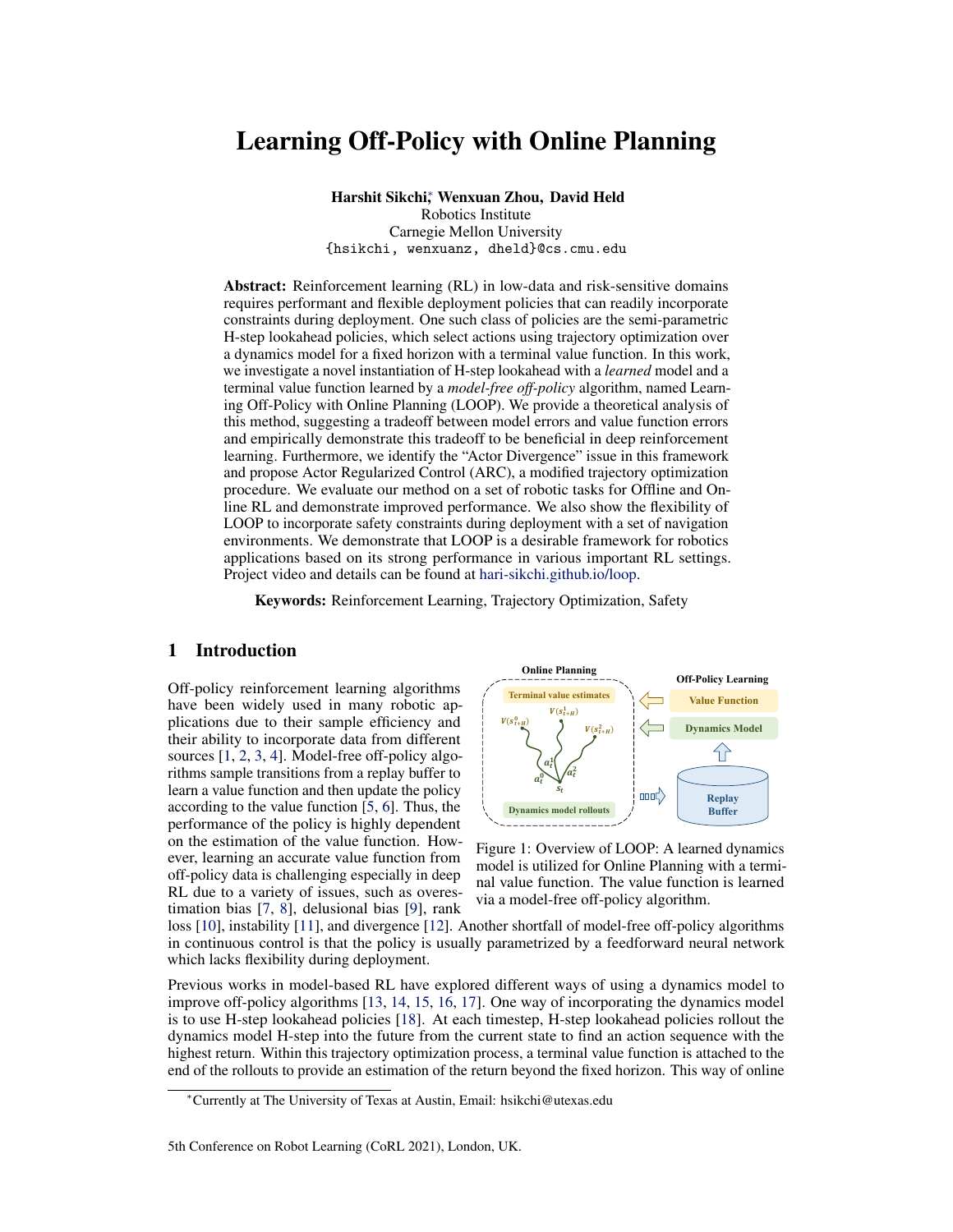planning offers us a degree of explainability missing in fully parametric methods while also allowing us to take constraints into account during deployment. Previous work proves faster convergence with H-step lookahead policies in tabular setting [18] or showed improved sample complexity with a *ground-truth* dynamics model [19]. However, the benefit of H-step lookahead policies remains unclear under an *approximate model* and an *approximate value function*. Additionally, if H-step lookahead policies are used during the value function update [19], the required computation of value function update will be significantly increased.

In this work, we take this direction further by studying H-step lookahead both theoretically and empirically with three main contributions. First, we provide a theoretical analysis of H-step lookahead under an *approximate model* and *approximate value function*. Our analysis suggests a trade-off between model error and value function error, and we empirically show that this tradeoff can be used to improve policy performance in Deep RL. Second, we introduce Learning Off-Policy with Online Planning (LOOP) (Figure 1). To avoid the computational overhead of performing trajectory optimization while updating the value function as in previous work [19], the value function of LOOP is updated via a parameterized actor using a model-free off-policy algorithm ("Learning Off-Policy"). LOOP exploits the benefits of H-step lookahead policies when the agent is deployed in the environment during exploration and evaluation ("Online Planning"). This novel combination of model-based online planning and model-free off-policy learning provides sample-efficient and computationally-efficient learning. We also identify the "Actor Divergence" issue in this combination and propose a modified trajectory optimization method called Actor Regularized Control (ARC). ARC performs implicit divergence regularization with the parameterized actor through Iterative Importance Sampling.

Third, we explore the flexibility of H-step lookahead policies for improved performance in offline RL and safe RL, which are both important settings in robotics. LOOP can be applied on top of various offline RL algorithms to improve their evaluation performance. LOOP's semiparameteric behavior policy also allows it to easily incorporate safety constraints during deployment. We evaluate LOOP on a set of simulated robotic tasks including locomotion, manipulation, and controlling an RC car. We show that LOOP provides significant improvement in performance for online RL, offline RL, and safe RL, which makes it a strong choice of RL algorithm for robotic applications.

# 2 Related Work

Model-based RL Model-based reinforcement learning (MBRL) methods learn a dynamics model and use it to optimize the policy. State-of-the-art model-based RL methods usually have better sample efficiency compared to model-free methods while maintaining competitive asymptotic performance [20, 13]. One approach in MBRL is to use trajectory optimization with a learned dynamics model [17, 21, 22]. These methods can reach optimal performance when a large enough planning horizon is used. However, they are limited by not being able to reason about the rewards beyond the planning horizon. Increasing the planning horizon increases the number of trajectories that need to be sampled and incurs a heavy computational cost.

Various attempts have been made to combine model-free and model-based RL. GPS [23] combines trajectory optimization using analytical models with the on-policy policy gradient estimator. MBVE [15] and STEVE [16] use the model to improve target value estimates. Approaches such as MBPO [13] and MAAC [24] follow Dyna-style [25] learning where imagined short-horizon trajectories are used to provide additional transitions to the replay buffer leveraging model generalization. Piché et al. [26] use Sequential Monte Carlo (SMC) to capture multimodal policies. The SMC policy relies on combining multiple 1-step lookahead value functions to sample a trajectory proportional to the unnormalized probability  $exp(\sum_{i=1}^{H}(A(s, a)))$ ; this approach potentially compounds value function errors, in contrast to LOOP which uses single H-step lookahead planning for each state. POLO [19] shows advantages of trajectory optimization under *ground-truth* dynamics with a terminal value function. The value function updates involve additional trajectory optimization routines which is one of the issues we aim to address with LOOP. The computation of trajectory optimization in POLO is  $\mathcal{O}(THN)$  while LOOP is  $\mathcal{O}(TH)$  where T is the number of environment timesteps, H is the planning horizon, and  $N$  is the number of samples needed for training the value function.

Off-Policy RL LOOP relies on a terminal value function for long horizon reasoning which can be learned effectively via model-free off-policy RL algorithms. Off-policy RL methods such as SAC [5]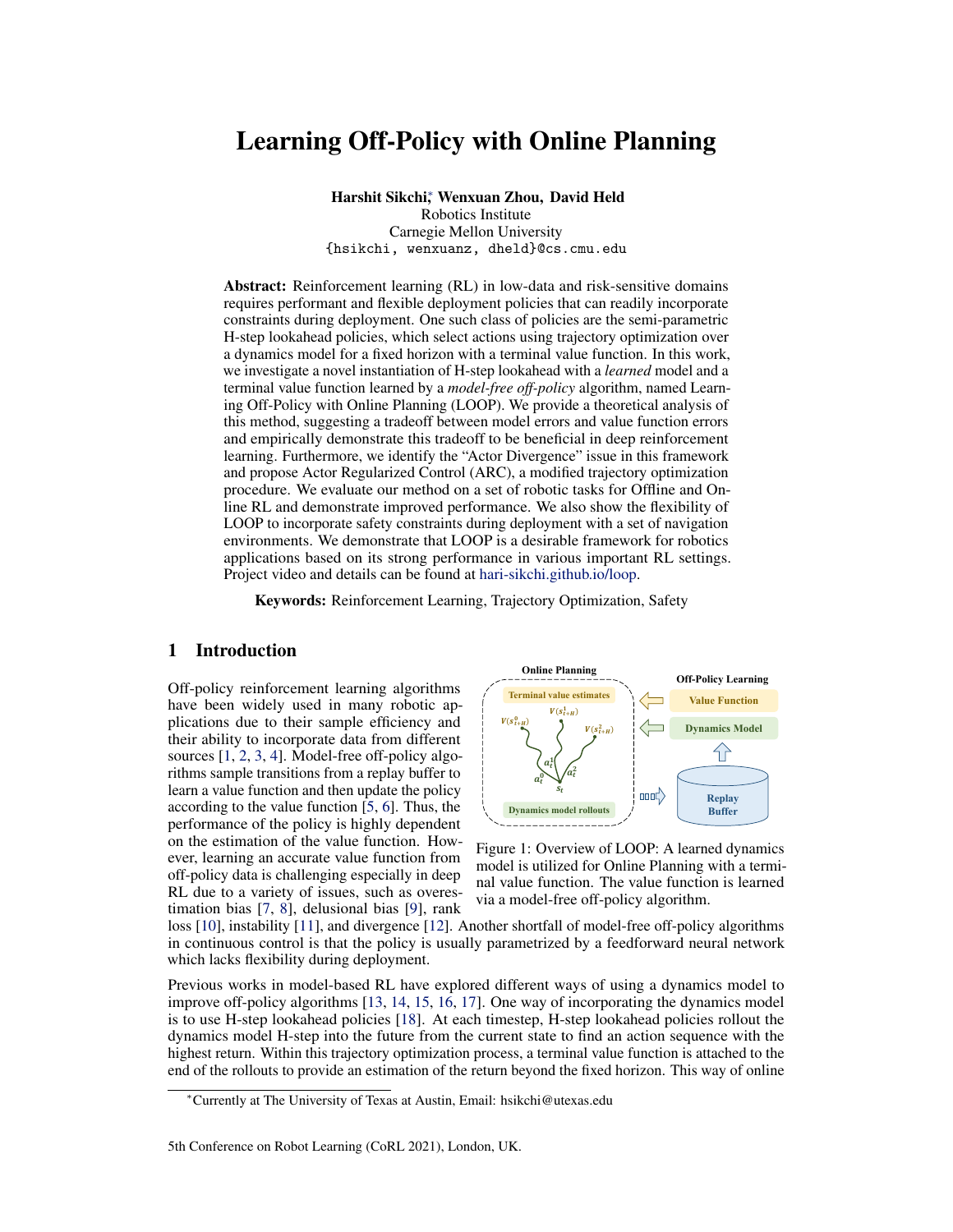and TD3 [6] use the replay buffer to learn a Q-function that evaluates a parameterized actor and then optimize the actor by maximizing the Q-function. Off-policy methods can be modified to be used for Offline RL problems where the goal is to learn a policy from a static dataset [27, 8, 28, 29, 30, 31, 32]. MBOP [33], a recent model-based offline RL method, leverages planning with a terminal value function, but the value function is a Monte Carlo evaluation of truncated replay buffer trajectories, whereas in LOOP the value function is trained for optimality under the dataset.

#### 3 Preliminaries

A Markov Decision Process (MDP) is defined by the tuple  $(S, \mathcal{A}, p, r, \rho_0)$  with state-space S, actionspace A, transition probability  $p(s_{t+1}|s_t, a_t)$ , reward function  $r(s, a)$ , and initial state distribution  $\rho_0(s)$ . In the infinite horizon discounted MDP, the goal of reinforcement learning algorithms is to maximize the return for policy  $\pi$  given by  $J^{\pi} = \mathbb{E}_{a_t \sim \pi(s_t), s_0 \sim \rho_0}[\sum_{t=0}^{\infty} \gamma^t r(s_t, a_t)].$ 

Value functions:  $V^{\pi}$ :  $S \to \mathbb{R}$  represents a state-value function which estimates the return from the current state  $s_t$  and following policy  $\pi$ , defined as  $V^{\pi}(s) = \mathbb{E}_{a_t \sim \pi(s_t)}[\sum_{t=0}^{\infty} \gamma^t r(s_t, a_t)|s_0 = s]$ .<br>Similarly,  $Q^{\pi} : S \times A \rightarrow \mathbb{R}$  represents a action-value function, usually referred as a Q-function, de to the Bellman operator  $T$ :

$$
\mathcal{T}Q(s_t, a_t) = r(s_t, a_t) + \mathbb{E}_{s_{t+1} \sim p, a_{t+1} \sim \pi_Q}[\gamma(Q(s_{t+1}, a_{t+1})]
$$
(1)

where  $\pi_Q$  is updated to be greedy with respect to  $Q$ , the current Q-function.

**Constrained MDP for safety:** A constrained MDP (CMDP) is defined by the tuple  $(S, \mathcal{A}, p, r, c, \rho_0)$ with an additional cost function  $c(s, a)$ . We define the cumulative cost of a policy to be  $D^{\pi} =$  $\mathbb{E}_{a_t \sim \pi(s_t), s_0 \sim \rho_0}[\sum_{t=0}^{\infty} \gamma^t c(s_t, a_t)].$  A common objective for safe reinforcement learning is to find a policy  $\pi = \argmax_{\pi} J^{\pi}$  subject to  $D^{\pi} \le d_0$  where  $d_0$  is a safety threshold [34].

# 4 H-step Lookahead with Learned Model and Value Function

Model-based algorithms often learn an approximate dynamics model  $M(s_{t+1}|s_t, a_t)$  using the data collected from the environment. One way of using the model is to find an action sequence that maximizes the cumulative reward with the learned model using trajectory optimization [35, 36, 37]. An important limitation of this approach is that the computation grows exponentially with the planning horizon. Thus, methods like [35, 17, 21, 38, 39] plan over a fixed, short horizon and are unable to reason about long-term reward. Let  $\pi_H$  be such a fixed horizon policy:

$$
\pi_H(s_0) = \underset{a_0}{\text{argmax}} \max_{a_1, \dots, a_{H-1}} \mathbb{E}_{\hat{M}}[R_H(s_0, \tau)], \text{ where } R_H(s_0, \tau) = \sum_{t=0}^{H-1} \gamma^t r(s_t, a_t) \tag{2}
$$

where  $\tau$  denotes the action sequence  $a_{[0..H-1]}$ . One way to enable efficient long-horizon reasoning is to augment the planning trajectory with a terminal value function. Given a value-function  $\hat{V}$ , we define a policy  $\pi_{H,\hat{V}}$  obtained by maximizing the H-step lookahead objective:

$$
\pi_{H,\hat{V}}(s_0) = \underset{a_0}{\text{argmax}} \max_{a_1, \dots, a_{H-1}} \mathbb{E}_{\hat{M}} \Big[ R_{H,\hat{V}}(s_0, \tau) \Big] \tag{3}
$$
  
where  $R_{H,\hat{V}}(s_0, \tau) = \sum_{t=0}^{H-1} \gamma^t r(s_t, a_t) + \gamma^H \hat{V}(s_H)$ 

The quality of both the model  $\hat{M}$  and the value-function  $\hat{V}$  affects the performance of the overall policy. To show the benefits of this combination of model-based trajectory optimization and the value-function, we now analyze and bound the performance of the H-step look-ahead policy  $\pi_{H,\hat{V}}$ compared to its fixed-horizon counterpart without the value-function  $\pi_H$  (Eqn. 2), as well as the greedy policy obtained from the value-function  $\pi_{\hat{V}} = \argmax_{a} E_{s \sim M(.|s,a)} \left[ r(s, a) + \gamma \hat{V}(s') \right]$ . Following previous work, we will construct the proofs with the state-value function  $V$ , but the proofs for the action-value function  $Q$  can be derived similarly.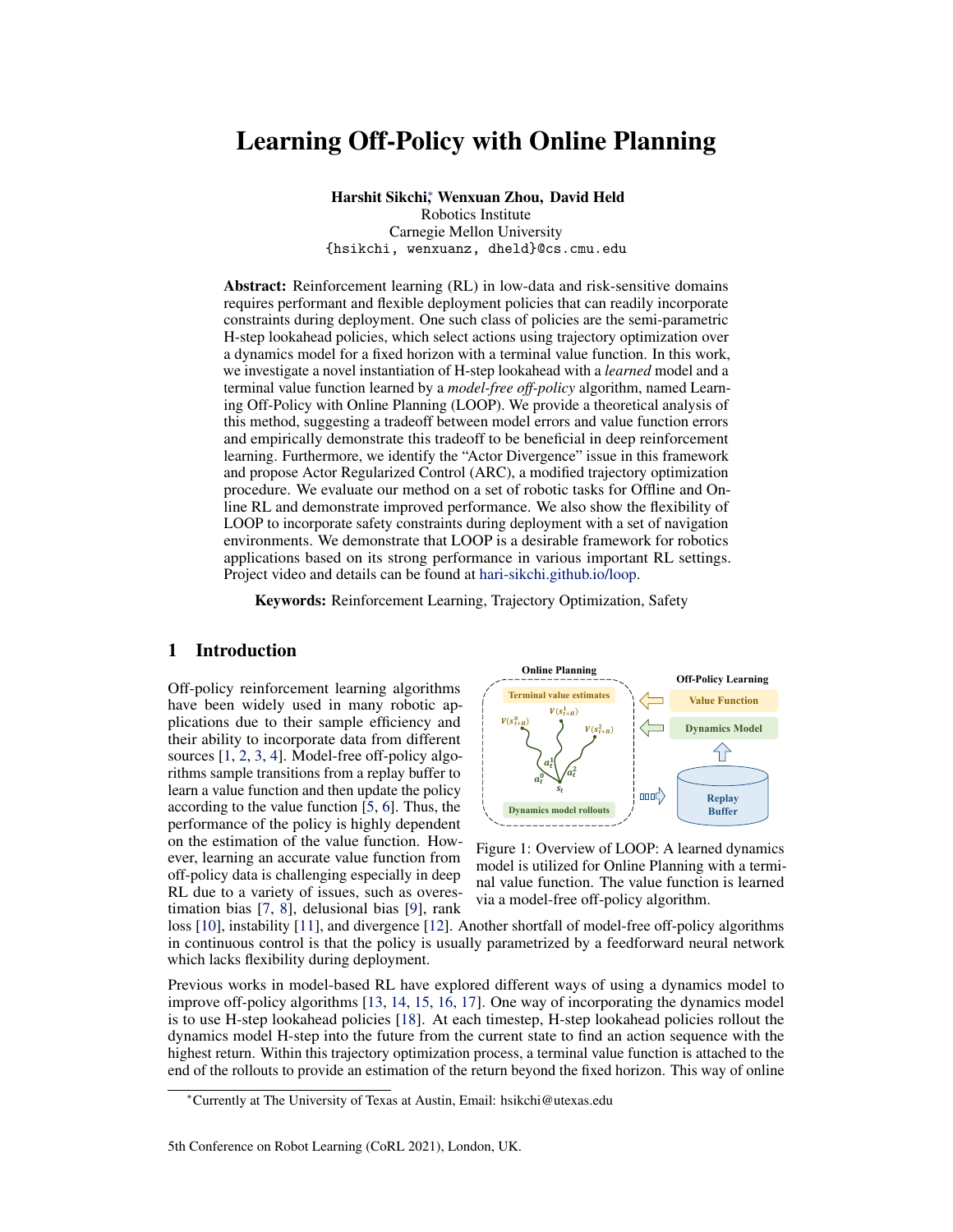**Lemma 1.** *(Singh and Yee [40]) Suppose we have an approximate value function*  $\hat{V}$  *such that*  $\max_s|V^*(s) - \hat{V}(s)| \leq \epsilon_v$ . Then the performance of the 1-step greedy policy  $\pi_{\hat{V}}$  can be bounded as:

$$
J^{\pi} - J^{\pi} \hat{v} \le \frac{\gamma}{1 - \gamma} [2\epsilon_v]
$$
 (4)

Theorem 1. *(H-step lookahead policy) Suppose* Mˆ *is an approximate dynamics model with Total Variation distance bounded by*  $\epsilon_m$ . Let  $\hat{V}$  *be an approximate value function such that*  $\max_s |V^*(s) - \hat{V}|$  $\hat{V}(s)| \leq \epsilon_v$ . Let the reward function  $r(s, a)$  be bounded by [0,R<sub>max</sub>] and  $\hat{V}$  be bounded by [0,V<sub>max</sub>]. Let  $\epsilon_p$  be the suboptimality incurred in H-step lookahead optimization (Eqn. 3). Then the performance *of the H-step lookahead policy*  $\pi_{H,\hat{V}}$  *can be bounded as:* 

*where*

$$
J^{\pi} - J^{\pi_{H,\hat{V}}} \leq \frac{2}{1 - \gamma^H} [C(\epsilon_m, H, \gamma) + \frac{\epsilon_p}{2} + \gamma^H \epsilon_v]
$$
  
\n
$$
C(\epsilon_m, H, \gamma) = R_{\text{max}} \sum_{t=0}^{H-1} \gamma^t t \epsilon_m + \gamma^H H \epsilon_m V_{\text{max}}
$$
\n(5)

*Proof.* Due to the page limit, we defer the proof to Appendix A.1. We also provide extension of Theorem 1 under assumptions on model generalization and concentrability in Corollary 1 and Theorem 2 respectively in Appendix A.  $\Box$ 

H-step Lookahead Policy vs H-step Fixed Horizon Policy: The fixed-horizon policy  $\pi_H$  can be considered as a special case of  $\pi_{H\hat{V}}$  with  $\hat{V}(s) = 0 \ \forall s \in \mathcal{S}$ . Following Theorem 1,  $\epsilon_{\hat{V}} =$  $\max_s|V^*(s)|$  implies a potentially large optimality gap. This suggests that learning a value function that better approximates  $V^*$  than  $\hat{V}(s) = 0$  will give us a smaller optimality gap in the worst case.

H-step lookahead policy vs 1-step greedy policy: By comparing Lemma 1 and Theorem 1, we observe that the performance of the H-step lookahead policy  $\pi_{H,\hat{V}}$  reduces the dependency on the value function error  $\epsilon_v$  at least by a factor of  $\gamma^{H-1}$  while introducing an additional dependency on the model error  $\epsilon_m$ . This implies that the H-step lookahead is beneficial when the value-function bias dominates the bias in the learned model. In the low data regime, the value function bias can result from compounded sampling errors [41] and is likely to dominate the model bias, as evidenced by the success of model-based RL methods in the low-data regime [33, 42, 13]; we observe this hypothesis to be consistent with our experiments where H-step lookahead offers large gains in sample efficiency. Further, errors in value learning with function approximation can stem from a number of reasons explored in previous work, some of them being Overestimation, Rank Loss, Divergence, Delusional bias, and Instability [7, 11, 6, 43, 10]. Although this result may be intuitive to many practitioners, it has not been shown theoretically; further, we demonstrate that we can use this insight to improve the performance of state-of-the-art methods for online RL, offline RL, and safe RL.

## 5 Learning Off-Policy with Online Planning

We propose Learning Off-Policy with Online Planning (LOOP) as a framework of using H-step lookahead policies that combines online trajectory optimization with model-free off-policy RL (Figure 1). We use the replay buffer to learn a dynamics model and a value function using an offpolicy algorithm. The H-step lookahead policy (Eqn. 3) generates rollouts using the dynamics model with a terminal value function and selects the best action for execution. The underlying off-policy algorithm is boosted by the H-step lookahead which improves the performance of the policy during both exploration and evaluation. From another perspective, the underlying model-based trajectory optimization is improved using a terminal value function for reasoning about future returns. In this section, we discuss the Actor Divergence issue in the LOOP framework and introduce additional applications and instantiations of LOOP for offline RL and safe RL.

#### 5.1 Reducing actor-divergence with Actor Regularized Control (ARC)

As discussed above, LOOP utilizes model-free off-policy algorithms to learn a value function in a more computationally efficient manner. It relies on actor-critic methods which use a parametrized actor  $\pi_{\theta}$  to facilitate the Bellman backup. However, we observe that combining trajectory optimization and policy learning naively will lead to an issue that we refer to as "actor divergence": a different policy is used for data collection (H-step lookahead policy  $\pi_{H,\hat{V}}$ ) than the policy that is used to learn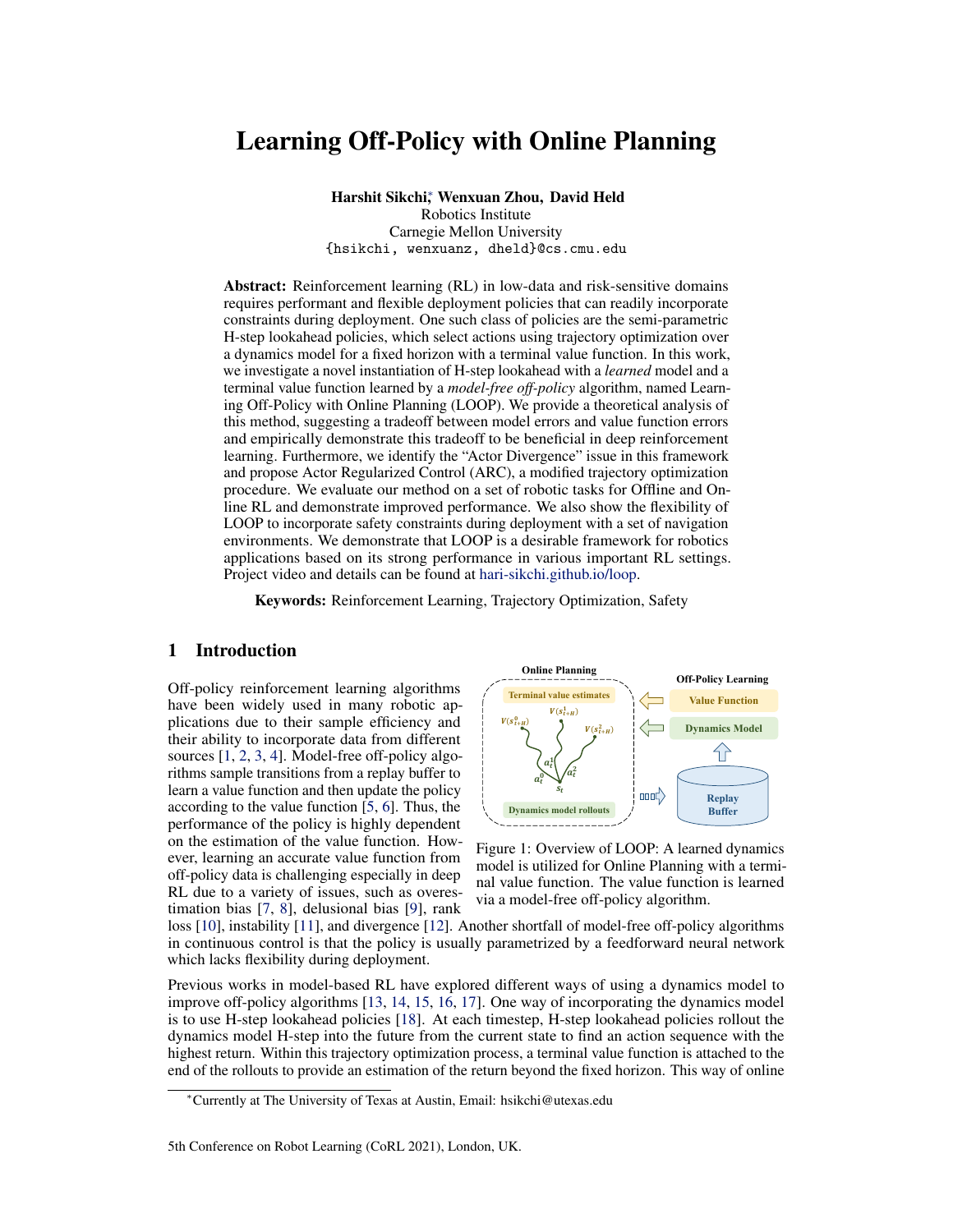the value-function (the parametrized actor  $\pi_{\theta}$ ). This leads to a potential distribution shift between the state-action visitation distribution between the parametrized actor  $\pi_{\theta}$  and the actual behavior policy  $\pi_{H,\hat{V}}$  which can lead to accumulated bootstrapping errors with the Bellman update and destabilize value learning [43]. One possible solution in this case is to use Offline RL [30]; however, in practice, we observe that offline RL in this setup leads to learning instabilities. We defer discussion on this alternative to the Appendix D.7. Instead, we propose to resolve the actor-divergence issue via a modified trajectory optimization method called Actor Regularized Control (ARC).

In ARC, we aim to constrain the action selection of the trajectory optimization to be close to the parametrized actor. We frame the following general constrained optimization problem for policy improvement [44]:

$$
p_{opt}^{\tau} = \underset{p^{\tau}}{\operatorname{argmax}} \mathbb{E}_{p^{\tau}}[L_{H,\hat{V}}(s_t, \tau)], \text{ s.t } D_{KL}(p^{\tau}||p_{prior}^{\tau}) \le \epsilon
$$
 (6)

where  $L_{H,\hat{V}}(s_t, \tau)$  is the expected lookahead objective (Eqn. 3) under the learned model given by  $L_{H,\hat{V}}(s_t,\tau) = \mathbb{E}_{\hat{M}}\Big[R_{H,\hat{V}}(s_t,\tau)\Big]$ , starting from state  $s_t, p^\tau$  is a distribution over action sequences  $\tau$ of horizon H starting from  $s_t$ , and  $p_{prior}^{\tau}$  is a prior distribution over such action sequences. We will use the parametrized actor to derive this prior in ARC. This optimization admits a closed form solution by enforcing the KKT conditions where the optimal policy is given by  $p_{opt}^{\tau} \propto p_{prior}^{\tau} e^{\frac{1}{\eta} L_{H,\hat{V}}(s_t,\tau)}$  [45, 46, 47, 48], where  $\eta$  is the lagrangian dual variable. The above formulation generalizes a number of prior work [5, 35, 45] (more details in Appendix B.3).

Approximating the optimal policy  $p_{opt}^{\tau}$  as a multivariate gaussian with diagonal covariance  $\hat{p}_{opt}^{\tau} =$  $\mathcal{N}(\mu_{opt}, \sigma_{opt})$  , the parameters can be estimated using importance sampling under the proposal distribution  $p_{prior}^{\tau}$  as:

$$
\hat{p}_{opt}^{\tau} = \mathcal{N}(\mu_{opt}, \sigma_{opt}), \ \mu_{opt} = \mathbb{E}_{\tau, \hat{M}} \left[ \frac{p_{opt}^{\tau}(\tau')}{p_{prior}^{\tau}(\tau')} \tau' \right], \ \sigma_{opt} = \mathbb{E}_{\tau, \hat{M}} \left[ \frac{p_{opt}^{\tau}(\tau')}{p_{prior}^{\tau}(\tau')} (\tau' - \mu)^2 \right] \tag{7}
$$

where  $\tau' \sim p_{prior}^{\tau}$ . We use iterative importance sampling to estimate  $\hat{p}_{opt}^{\tau}$  which is parameterized as a Gaussian whose mean and variance at iteration  $m + 1$  are given by the empirical estimate:

$$
\mu^{m+1} = \frac{\sum_{i=1}^{N} \left[e^{\frac{1}{\eta}L_{H,\hat{V}}(s_t,\tau)}\tau'\right]}{\sum_{i=1}^{N} e^{\frac{1}{\eta}L_{H,\hat{V}}(s_t,\tau)}}, \sigma^{m+1} = \frac{\sum_{i=1}^{N} \left[e^{\frac{1}{\eta}L_{H,\hat{V}}(s_t,\tau)}(\tau'-\mu^{m+1})^2\right]}{\sum_{i=1}^{N} e^{\frac{1}{\eta}L_{H,\hat{V}}(s_t,\tau)}} \tag{8}
$$

where  $\tau' \sim \mathcal{N}(\mu^m, \sigma^m)$  and  $\mathcal{N}(\mu^0, \sigma^0)$  is set to  $p_{prior}^{\tau}$ . As long as we perform a finite number of iterations, the final trajectory distribution is constrained in total variation to be close to the prior as a result of finite trust region updates as shown in Lemma 2 in Appendix A.4.

To reduce actor divergence in LOOP, we constrain the action-distribution of the trajectory optimization to be close to that of the parametrized actor  $\pi_{\theta}$ . To do so, we set  $p_{prior}^{\tau} = \beta \pi_{\theta} + (1 - \beta) \mathcal{N}(\mu_{t-1}, \sigma)$ . The trajectory prior is a mixture of the parametrized actor and the action sequence from the previous environment timestep with additional Gaussian noise  $\mathcal{N}(0, \sigma)$ . Using 1-timestep shifted solution from the previous timestep allows to amortize trajectory optimization over time [33]. For online RL, we can vary  $\sigma$  to vary the amount of exploration during training. For offline RL, we set  $\beta = 1$  to constrain actions to be close to those in the dataset (from which  $\pi_{\theta}$  is learned) to be more conservative.

#### 5.2 Additional instantiations of LOOP: Offline-LOOP and Safe-LOOP

LOOP not only improves the performance of previous model-based and model-free RL algorithms but also shows versatility in different settings such as the offline RL setting and the safe RL setting. These potentials of H-step lookahead policies have not been explored in previous work.

LOOP for Offline RL: In offline reinforcement learning, the policy is learned from a static dataset without further data collection. We can use LOOP on top of an existing off-policy algorithm as a plug-in component to improve its test time performance by using the model-based rollouts as suggested by Theorem 1. Note that this is different from the online setting in the previous section in which LOOP also influences exploration. In offline-LOOP, to account for the uncertainty in the model and the Q-function, ARC optimizes for the following uncertainty-pessimistic objective similar to [49, 50]:

$$
\text{mean}_{[K]}[R_{H,\hat{V}}(s_t,\tau)] - \beta_{pess}\text{std}_{[K]}[R_{H,\hat{V}}(s_t,\tau)] \tag{9}
$$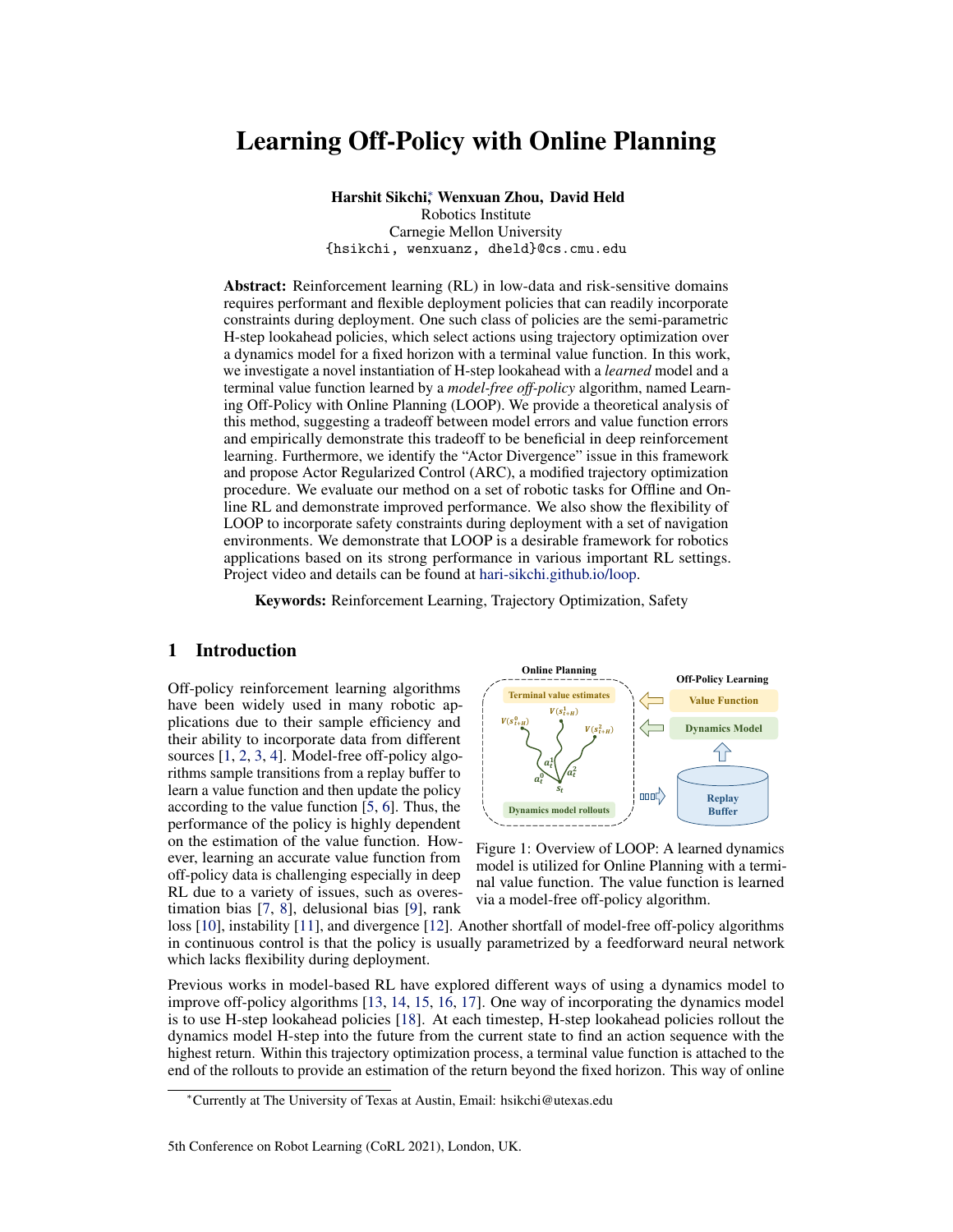

Figure 2: We evaluate LOOP over a variety of environments ranging from locomotion, manipulation to navigation including Walker2d-v2, Ant-v2, PenGoal-v1, Claw-v1, CarGoal1, etc.

where [K] are the model ensembles,  $\beta_{pess}$  is the pessimism parameter and  $R_{H,\hat{V}}$  is the H-horizon lookahead objective defined in Eqn. 3.

Safe Reinforcement Learning: Another benefit of LOOP with its semi-parameteric policy is that we can easily incorporate (possibly non-stationary) constraints with the model-based rollout, while being an order of magnitude more sample efficient than existing safe model-free RL algorithms. To account for safety in the planning horizon, ARC optimizes for the following cost-pessimistic objective:

$$
\operatorname{argmax}_{a_t} \mathbb{E}_{\hat{M}} \Big[ R_{H,\hat{V}}(s_t, \tau) \Big] \text{s.t. } \max_{[K]} \sum_{t=t}^{t+H-1} \gamma^t c(s_t, a_t) \le d_0 \tag{10}
$$

where [K] are the model ensembles, c is the constraint cost function and  $R_{H,\hat{V}}$  is the H-horizon lookahead objective defined in Eqn. 3 and  $d_0$  is the constraint threshold. For each action rollout, the worst-case cost is considered w.r.t model uncertainty to be more conservative. The pseudocode for modified ARC to solve the above constrained optimization is given in Appendix B.3.1.

#### 6 Experimental Results

In the experiments, we evaluate the performance of LOOP combined with different off-policy algorithms in the settings of online RL, offline RL and safe RL over a variety of environments (Figure 2). Implementation details of LOOP and the baselines can be found in Appendix C.

#### 6.1 LOOP for Online RL

In this section, we evaluate the performance of LOOP for online RL on three OpenAI Gym MuJoCo [51] locomotion control tasks: Hal  $fCheetah-v2$ , Walker-v2, Ant-v2 and two manipulation tasks: PenGoal - $\vee$ 1, Cl aw- $\vee$ 1. In these experiments, we use Soft Actor-Critic (SAC) [5] as the underlying off-policy method with the ARC optimizer described in Section 5.1. Further experiments on InvertedPendulum-v2, Swimmer, Hopper-v2 and Humanoid-v2 and more details on the baselines can be found in Appendix D.1 and Appendix C.2 respectively.



Figure 3: Comparisons of LOOP and the baselines for online RL. LOOP-SAC is significantly more sample efficient than SAC. It is competitive to MBPO for locomotion tasks and outperforms MBPO for manipulation tasks (PenGoal-v1 and Claw-v1). The dashed line indicates the performance of SAC at 1 million timesteps. Additional results on more environments can be found in Appendix D.1.

Baselines: We compare the LOOP framework against the following baselines: PETS-restricted, a variant of PETS [17] that uses trajectory optimization (CEM) for the same horizon as LOOP but without a terminal value function. LOOP-SARSA uses a terminal value function which is an evaluation of the replay buffer policy, similar to MBOP [33] in spirit. To compare with other ways of combining model-based and model-free RL, we also compare against MBPO [13] and SAC-VE. MBPO leverages the learned model to generate additional transitions for value function learning.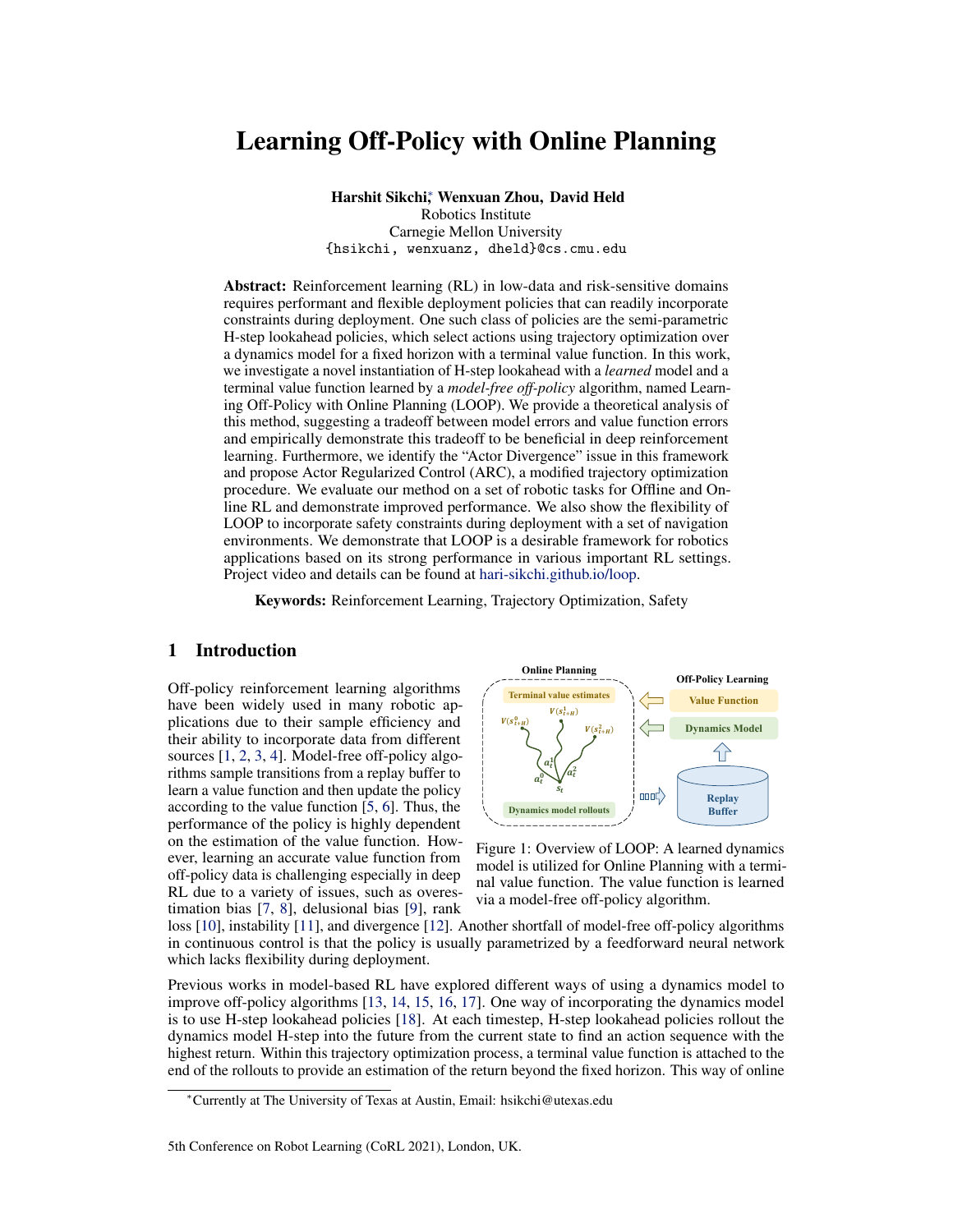SAC-VE utilizes the model for value expansion, similar to MBVE [15] but uses SAC as the modelfree component for a fair comparison with LOOP as done in [13]. We do not include comparison to STEVE [16] or SLBO [52] as they were shown to be outperformed by MBPO, and perform poorly compared to SAC in Hopper and Walker environments [13]. We were unable to reproduce the results for SMC [26] due to missing implementation. We did not include POLO here due several reasons. An extended discussion can be found in Appendix D.2.

in PenGoal -v1 and Cl aw-v1. In principle, policy learning can be unstable. Performance: From Figure 3, we observe that LOOP-SAC is significantly more sample efficient than SAC, the underlying modelfree method used to learn a terminal value function. LOOP-SAC also scales well to high-dimensional environments like Ant-v2 and PenGoal-v1. PETS-restricted performs poorly due to myopic reasoning over a limited horizon H. SAC-VE and MBPO represent different ways of incorporating a model to improve off-policy learning. LOOP-SAC outperforms SAC-VE and performs competitively to MBPO, outperforming it significantly



Figure 4: (Left) ARC reduces the actor-divergence measured by the L2 distance between the mean of the parametrized actor and the output of the Hstep lookahead policy. (Right) In absence of ARC,

methods like MBPO and value expansion can be combined with LOOP to potentially increase performance; we leave such combinations for future work. LOOP-SARSA has poor performance as a result of the poor value function that is trained for evaluating replay buffer policy rather than optimality. As an ablation study, we also run experiments using LOOP without ARC, which optimizes the unconstrained objective of Eqn. 3 using CEM [36]. Figure 4 (left) shows that ARC reduces actor-divergence effectively and Figure 4 (right) shows that learning performance is poor in absence of ARC for Walker-v2. More ablation results can be found in Appendix D.5.

| Dataset    | Env         | <b>CRR</b> | <b>LOOP</b><br><b>CRR</b> | Improve $%$ | <b>PLAS</b> | <b>LOOP</b><br><b>PLAS</b> | Improve $%$ | <b>MBOP</b> |
|------------|-------------|------------|---------------------------|-------------|-------------|----------------------------|-------------|-------------|
| medium     | hopper      | 65.73      | 85.83                     | 30.6        | 32.08       | 56.47                      | 76.0        | 48.8        |
|            | halfcheetah | 41.14      | 41.54                     | 1.0         | 39.33       | 39.54                      | 0.5         | 44.6        |
|            | walker2d    | 69.98      | 79.18                     | 13.1        | 46.20       | 52.66                      | 14.0        | 41.0        |
| med-replay | hopper      | 27.69      | 29.08                     | 5.0         | 29.29       | 31.29                      | 6.8         | 12.4        |
|            | halfcheetah | 42.29      | 42.84                     | 1.3         | 43.96       | 44.25                      | 0.7         | 42.3        |
|            | walker2d    | 19.84      | 27.30                     | 37.6        | 35.59       | 41.16                      | 15.7        | 9.7         |

#### 6.2 LOOP for Offline RL

Table 1: Normalized scores for LOOP on the D4RL datasets comparing to the underlying offline RL algorithms and a baseline MBOP. LOOP improves the base algorithm across various types of datasets and environments.

For Offline RL, we benchmark the performance using the D4RL datasets [53]. We combine LOOP with two value-based offline RL algorithms: Critic Regularized Regression (CRR) [54] and Policy in Latent Action Space (PLAS) [32]. We use the original offline RL algorithms to train a value function from the static data and then use it as the terminal value function for LOOP. We use  $\beta = 1$  in the trajectory prior of ARC (Section 5.1) in the offline RL setting to keep the policy conservative.

Baselines: In addition to the underlying offline RL algorithms, we also include recent work MBOP [33] as a baseline. MBOP uses a terminal value function which is an evaluation of the dataset policy. In contrast, LOOP uses a terminal value function trained with offline RL algorithms which is more optimal.

Performance: Table 1 presents the comparison of LOOP and the underlying offline RL algorithms. LOOP offers an average improvement of 15.91% over CRR and 29.49% over PLAS on the complete D4RL MuJoCo Locomotion dataset. Full results can be found in Appendix D.3. The results further highlight the benefit of the LOOP framework compared to the underlying model-free algorithms.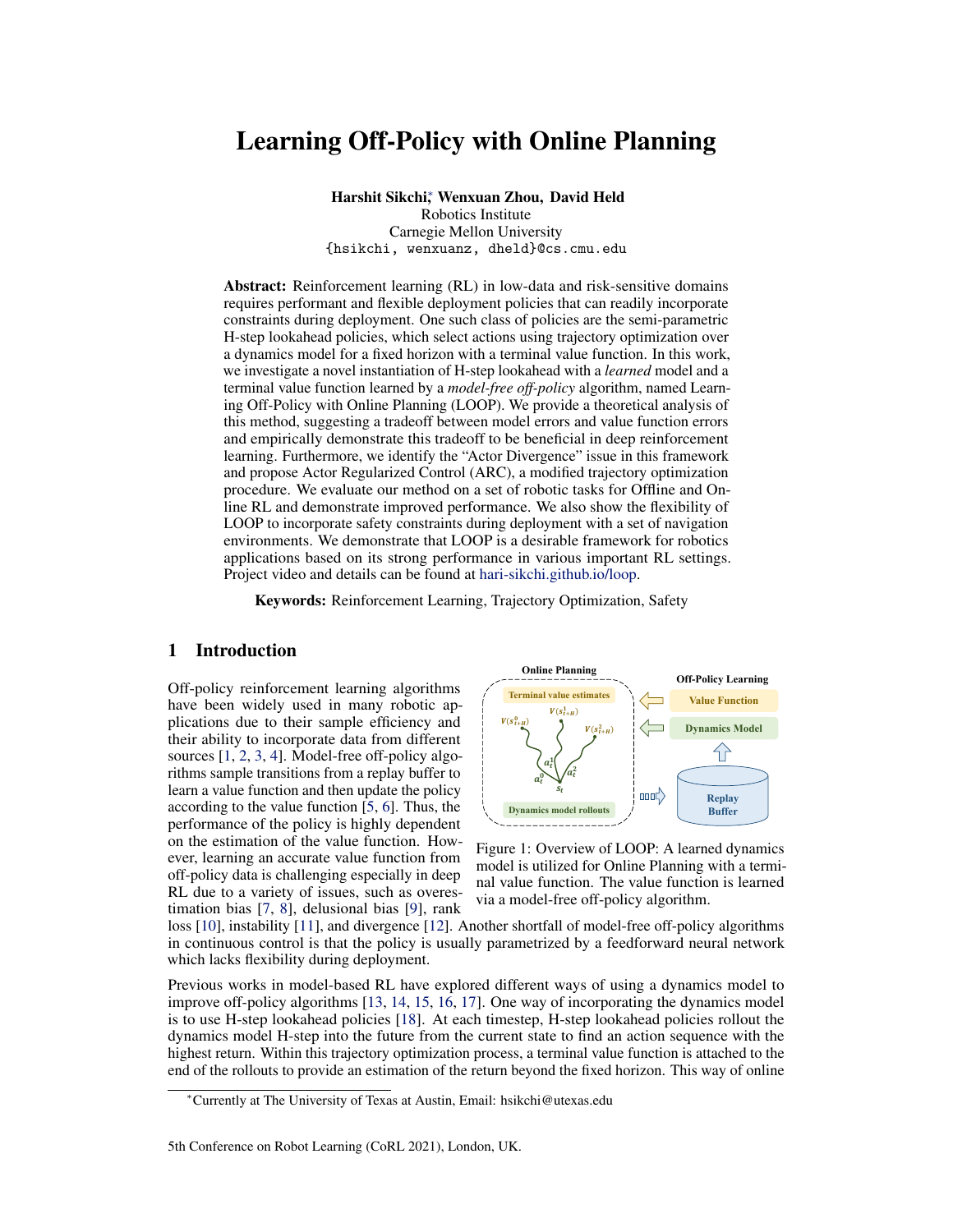

Figure 5: We compare safeLOOP with other safety methods such as CPO, LBPO, and PPO-lagrangian on OpenAI Safety Gym environments. It shows significant sample efficiency while offering similar or better safety benefits as the baselines.

#### 6.3 LOOP for Safe RL

For safe RL, we modify the H-step lookahead optimization to maximize the sum of rewards while satisfying the cost constraints, as described in Section 5.2. We evaluate our method on two environments from the OpenAI Safety Gym [55] and an RC-car simulation environment [56]. The objective of the Safety Gym environments is to move a Point mass agent or a Car agent to the goal while avoiding obstacles. The RC-car environment is rewarded for driving along a circle of 1m fixed radius with a desired velocity while staying within the 1.2m circle during training. Details for the environments can be found in Appendix C.4.

Baselines: We compare our safety-augmented LOOP (safeLOOP) against various state-of-theart safe learning methods such as CPO [57], LBPO [58], and PPO-lagrangian [59, 55]. CPO uses a trust region update rule that guarantees safety. LBPO relies on a barrier function formulated around a Lyapunov constraint for safety. PPO-lagrangian uses dual gradient descent to solve the constrained optimization. To ensure a fair comparison, all policies and dynamics models are randomly initialized, as is commonly done in safe RL experiments (rather than starting from a safe initial policy). We additionally compare against a model-based safety method that modifies PETS for safe exploration (safePETS)



Figure 6: RC-car experiments show the importance of the terminal value function in the LOOP framework. SafeLOOP achieves higher returns than safePETS while being competitive in safety performance. Both safePETS and PETS fail to learn a drifting policy due to limited lookahead.

without the terminal value function. We mostly compare to model-free baselines due to a lack of safe model-based Deep-RL baselines in the literature.

Performance: For the OpenAI Safety Gym environments, we observe in Figure 5 that safeLOOP can achieve performant yet safe policies in a sample efficient manner. SafeLOOP reaches a higher reward than CPO, LBPO and PPO-lagrangian, while being orders of magnitude faster. SafeLOOP also achieves a policy with a lower cost faster than the baselines. From another aspect, the simulated RC-car experiments demonstrate the benefits of the terminal value function in safe RL. Figure 6 shows the performance of LOOP, safeLOOP, PETS, and safePETS on this domain. PETS [17] and safePETS do not consider a terminal value function. SafeLOOP is able to achieve high performance while maintaining the fewest constraint violations during training. Qualitatively, LOOP and safeLOOP are able to learn a safe drifting behavior, whereas PETS and safePETS fail to do so since drifting requires longer horizon reasoning beyond the fixed planning horizon in PETS. The results suggest that safeLOOP is a desirable choice of algorithm for safe RL due to its sample efficiency and the flexibility of incorporating constraints during deployment.

## 7 Conclusion

In this work we analyze the H-step lookahead method under a learned model and value function and demonstrate empirically that it can lead to many benefits in deep reinforcement learning. We propose a framework LOOP which removes the computational overhead of trajectory optimization for value function update. We identify the actor-divergence issue in this framework and propose a modified trajectory optimization procedure - Actor Regularized Control. We show that the flexibility of H-step lookahead policy allows us to improve performance in online RL, offline RL as well as safe RL and this makes LOOP a strong choice of RL algorithm for robotic applications.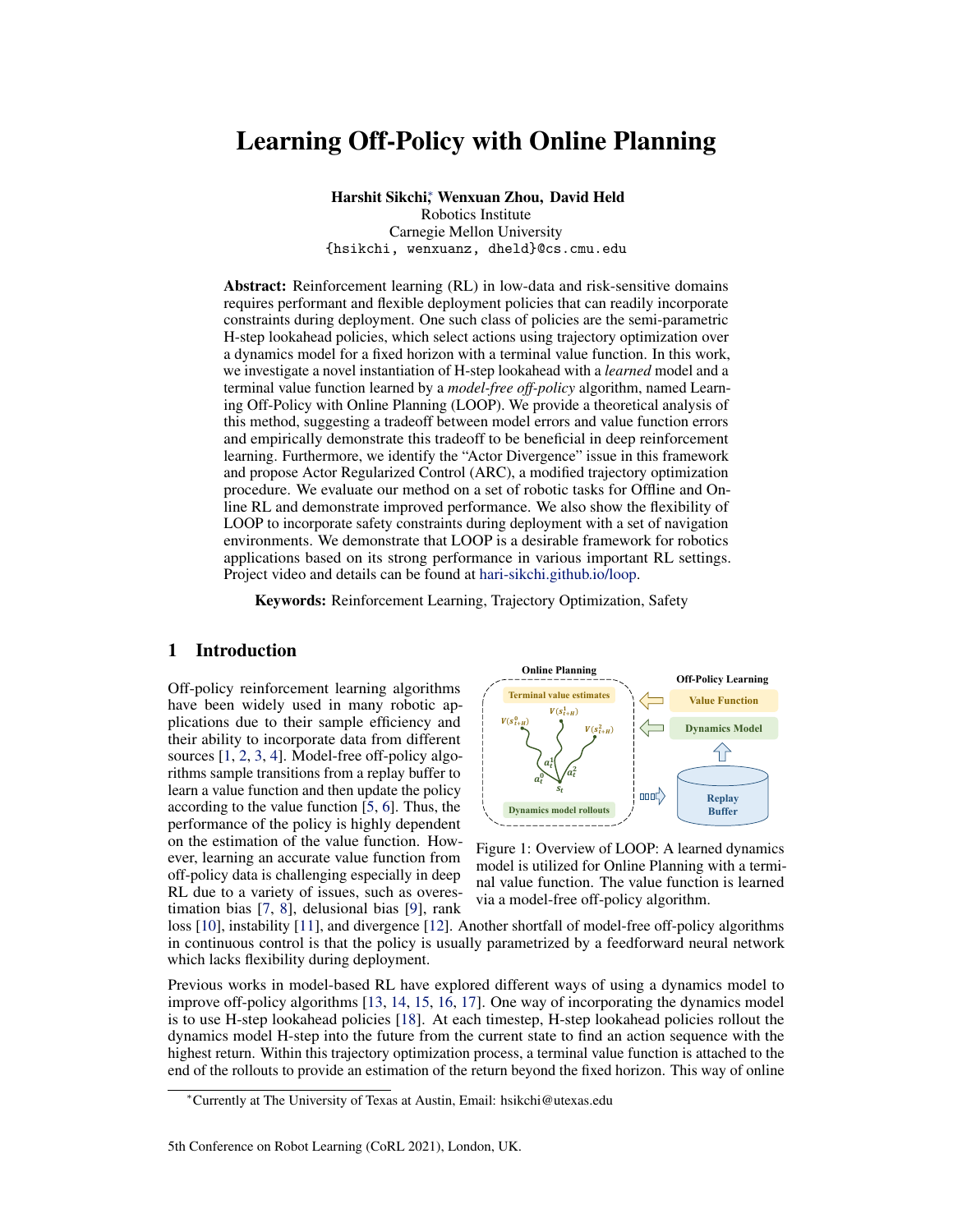#### Acknowledgments

We thank Tejus Gupta, Xingyu Lin and the members of R-PAD lab for insightful discussions. This material is based upon work supported by the United States Air Force and DARPA under Contract No. FA8750-18-C-0092, LG Electronics, and the National Science Foundation under Grant No. IIS-1849154.

### References

- [1] D. Kalashnikov, J. Varley, Y. Chebotar, B. Swanson, R. Jonschkowski, C. Finn, S. Levine, and K. Hausman. Mt-opt: Continuous multi-task robotic reinforcement learning at scale. *arXiv preprint arXiv:2104.08212*, 2021.
- [2] T. Haarnoja, S. Ha, A. Zhou, J. Tan, G. Tucker, and S. Levine. Learning to walk via deep reinforcement learning. *arXiv preprint arXiv:1812.11103*, 2018.
- [3] J. Matas, S. James, and A. J. Davison. Sim-to-real reinforcement learning for deformable object manipulation. In *Conference on Robot Learning*, pages 734–743. PMLR, 2018.
- [4] D. Kalashnikov, A. Irpan, P. Pastor, J. Ibarz, A. Herzog, E. Jang, D. Quillen, E. Holly, M. Kalakrishnan, V. Vanhoucke, et al. Qt-opt: Scalable deep reinforcement learning for vision-based robotic manipulation. *arXiv preprint arXiv:1806.10293*, 2018.
- [5] T. Haarnoja, A. Zhou, K. Hartikainen, G. Tucker, S. Ha, J. Tan, V. Kumar, H. Zhu, A. Gupta, P. Abbeel, et al. Soft actor-critic algorithms and applications. *arXiv preprint arXiv:1812.05905*, 2018.
- [6] S. Fujimoto, H. Van Hoof, and D. Meger. Addressing function approximation error in actor-critic methods. *arXiv preprint arXiv:1802.09477*, 2018.
- [7] S. Thrun and A. Schwartz. Issues in using function approximation for reinforcement learning. In *Proceedings of the Fourth Connectionist Models Summer School*, pages 255–263. Hillsdale, NJ, 1993.
- [8] S. Fujimoto, D. Meger, and D. Precup. Off-policy deep reinforcement learning without exploration. *arXiv preprint arXiv:1812.02900*, 2018.
- [9] T. Lu, D. Schuurmans, and C. Boutilier. Non-delusional q-learning and value-iteration. 2018.
- [10] A. Kumar, R. Agarwal, D. Ghosh, and S. Levine. Implicit under-parameterization inhibits data-efficient deep reinforcement learning. *arXiv preprint arXiv:2010.14498*, 2020.
- [11] J. Fu, A. Kumar, M. Soh, and S. Levine. Diagnosing bottlenecks in deep q-learning algorithms. In *International Conference on Machine Learning*, pages 2021–2030. PMLR, 2019.
- [12] J. Achiam, E. Knight, and P. Abbeel. Towards characterizing divergence in deep q-learning. *arXiv preprint arXiv:1903.08894*, 2019.
- [13] M. Janner, J. Fu, M. Zhang, and S. Levine. When to trust your model: Model-based policy optimization, 2019.
- [14] A. Rajeswaran, I. Mordatch, and V. Kumar. A game theoretic framework for model based reinforcement learning. In *International Conference on Machine Learning*, pages 7953–7963. PMLR, 2020.
- [15] V. Feinberg, A. Wan, I. Stoica, M. I. Jordan, J. E. Gonzalez, and S. Levine. Model-based value estimation for efficient model-free reinforcement learning. *arXiv preprint arXiv:1803.00101*, 2018.
- [16] J. Buckman, D. Hafner, G. Tucker, E. Brevdo, and H. Lee. Sample-efficient reinforcement learning with stochastic ensemble value expansion. In *Advances in Neural Information Processing Systems*, pages 8224–8234, 2018.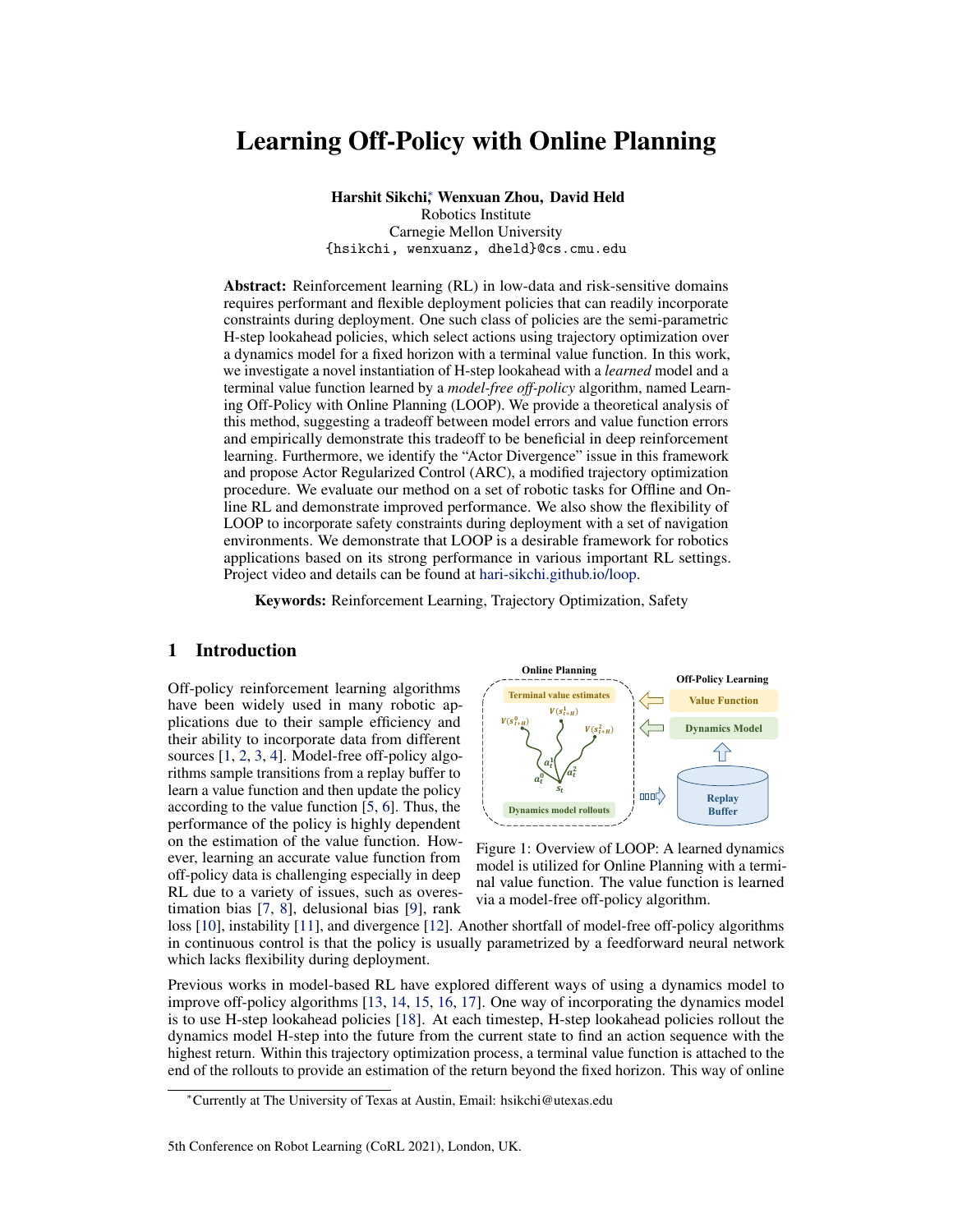- [17] K. Chua, R. Calandra, R. McAllister, and S. Levine. Deep reinforcement learning in a handful of trials using probabilistic dynamics models. In *Advances in Neural Information Processing Systems*, pages 4754–4765, 2018.
- [18] Y. Efroni, M. Ghavamzadeh, and S. Mannor. Online planning with lookahead policies. *Advances in Neural Information Processing Systems*, 33, 2020.
- [19] K. Lowrey, A. Rajeswaran, S. Kakade, E. Todorov, and I. Mordatch. Plan online, learn offline: Efficient learning and exploration via model-based control. *arXiv preprint arXiv:1811.01848*, 2018.
- [20] T. Kurutach, I. Clavera, Y. Duan, A. Tamar, and P. Abbeel. Model-ensemble trust-region policy optimization. *arXiv preprint arXiv:1802.10592*, 2018.
- [21] A. Nagabandi, K. Konoglie, S. Levine, and V. Kumar. Deep dynamics models for learning dexterous manipulation. *arXiv preprint arXiv:1909.11652*, 2019.
- [22] M. Deisenroth and C. E. Rasmussen. Pilco: A model-based and data-efficient approach to policy search. In *Proceedings of the 28th International Conference on machine learning (ICML-11)*, pages 465–472. Citeseer, 2011.
- [23] S. Levine and V. Koltun. Guided policy search. In *International conference on machine learning*, pages 1–9. PMLR, 2013.
- [24] I. Clavera, V. Fu, and P. Abbeel. Model-augmented actor-critic: Backpropagating through paths. *arXiv preprint arXiv:2005.08068*, 2020.
- [25] R. S. Sutton. Dyna, an integrated architecture for learning, planning, and reacting. *ACM Sigart Bulletin*, 2(4):160–163, 1991.
- [26] A. Piché, V. Thomas, C. Ibrahim, Y. Bengio, and C. Pal. Probabilistic planning with sequential monte carlo methods. In *International Conference on Learning Representations*, 2018.
- [27] R. Agarwal, D. Schuurmans, and M. Norouzi. An optimistic perspective on offline reinforcement learning. In *International Conference on Machine Learning*, pages 104–114. PMLR, 2020.
- [28] R. Zhang, B. Dai, L. Li, and D. Schuurmans. Gendice: Generalized offline estimation of stationary values. *arXiv preprint arXiv:2002.09072*, 2020.
- [29] N. Y. Siegel, J. T. Springenberg, F. Berkenkamp, A. Abdolmaleki, M. Neunert, T. Lampe, R. Hafner, and M. Riedmiller. Keep doing what worked: Behavioral modelling priors for offline reinforcement learning. *arXiv preprint arXiv:2002.08396*, 2020.
- [30] S. Levine, A. Kumar, G. Tucker, and J. Fu. Offline reinforcement learning: Tutorial, review, and perspectives on open problems. *arXiv preprint arXiv:2005.01643*, 2020.
- [31] A. Kumar, A. Zhou, G. Tucker, and S. Levine. Conservative q-learning for offline reinforcement learning. *arXiv preprint arXiv:2006.04779*, 2020.
- [32] W. Zhou, S. Bajracharya, and D. Held. Plas: Latent action space for offline reinforcement learning. *arXiv preprint arXiv:2011.07213*, 2020.
- [33] A. Argenson and G. Dulac-Arnold. Model-based offline planning. *arXiv preprint arXiv:2008.05556*, 2020.
- [34] E. Altman. *Constrained Markov decision processes*, volume 7. CRC Press, 1999.
- [35] G. Williams, P. Drews, B. Goldfain, J. M. Rehg, and E. A. Theodorou. Aggressive driving with model predictive path integral control. In *2016 IEEE International Conference on Robotics and Automation (ICRA)*, pages 1433–1440. IEEE, 2016.
- [36] R. Rubinstein. The cross-entropy method for combinatorial and continuous optimization. *Methodology and computing in applied probability*, 1(2):127–190, 1999.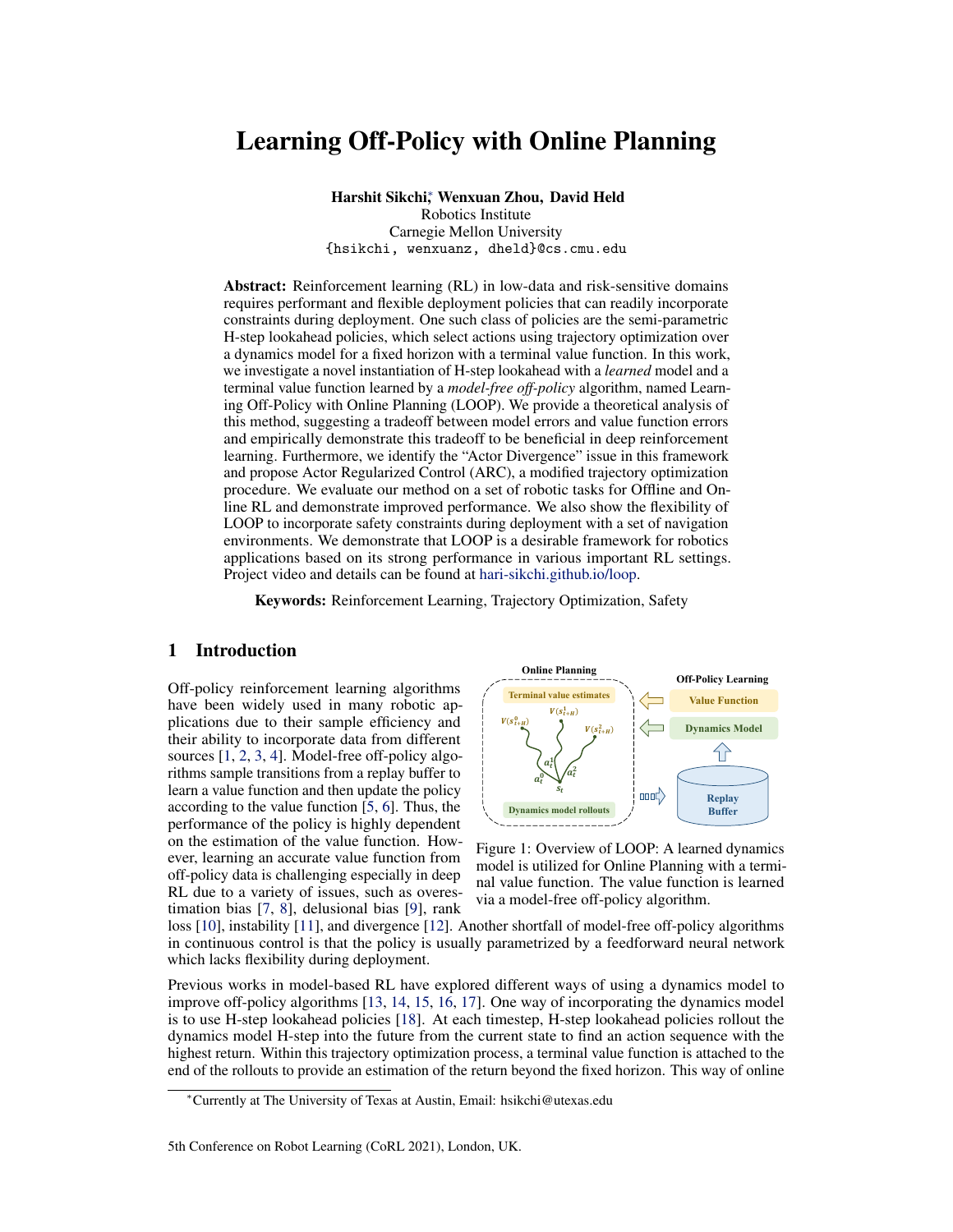- [37] E. F. Camacho and C. B. Alba. *Model predictive control*. Springer science & business media, 2013.
- [38] T. Wang and J. Ba. Exploring model-based planning with policy networks. *arXiv preprint arXiv:1906.08649*, 2019.
- [39] B. Zhang, R. Rajan, L. Pineda, N. Lambert, A. Biedenkapp, K. Chua, F. Hutter, and R. Calandra. On the importance of hyperparameter optimization for model-based reinforcement learning. In *International Conference on Artificial Intelligence and Statistics*, pages 4015–4023. PMLR, 2021.
- [40] S. P. Singh and R. C. Yee. An upper bound on the loss from approximate optimal-value functions. *Machine Learning*, 16(3):227–233, 1994.
- [41] A. Agarwal, N. Jiang, and S. M. Kakade. Reinforcement learning: Theory and algorithms. *CS Dept., UW Seattle, Seattle, WA, USA, Tech. Rep*, 2019.
- [42] T. Matsushima, H. Furuta, Y. Matsuo, O. Nachum, and S. Gu. Deployment-efficient reinforcement learning via model-based offline optimization. *arXiv preprint arXiv:2006.03647*, 2020.
- [43] A. Kumar, J. Fu, M. Soh, G. Tucker, and S. Levine. Stabilizing off-policy q-learning via bootstrapping error reduction. In *Advances in Neural Information Processing Systems*, pages 11761–11771, 2019.
- [44] N. Vieillard, T. Kozuno, B. Scherrer, O. Pietquin, R. Munos, and M. Geist. Leverage the average: an analysis of regularization in rl. *arXiv preprint arXiv:2003.14089*, 2020.
- [45] A. Nair, M. Dalal, A. Gupta, and S. Levine. Accelerating online reinforcement learning with offline datasets. *arXiv preprint arXiv:2006.09359*, 2020.
- [46] J. Peters and S. Schaal. Reinforcement learning by reward-weighted regression for operational space control. In *Proceedings of the 24th international conference on Machine learning*, pages 745–750, 2007.
- [47] J. Peters and S. Schaal. Natural actor-critic. *Neurocomputing*, 71(7-9):1180–1190, 2008.
- [48] J. Peters, K. Mulling, and Y. Altun. Relative entropy policy search. In *Twenty-Fourth AAAI Conference on Artificial Intelligence*, 2010.
- [49] T. Yu, G. Thomas, L. Yu, S. Ermon, J. Zou, S. Levine, C. Finn, and T. Ma. Mopo: Model-based offline policy optimization. *arXiv preprint arXiv:2005.13239*, 2020.
- [50] R. Kidambi, A. Rajeswaran, P. Netrapalli, and T. Joachims. Morel: Model-based offline reinforcement learning. *arXiv preprint arXiv:2005.05951*, 2020.
- [51] E. Todorov, T. Erez, and Y. Tassa. Mujoco: A physics engine for model-based control. In *2012 IEEE/RSJ International Conference on Intelligent Robots and Systems*, pages 5026–5033. IEEE, 2012.
- [52] Y. Luo, H. Xu, Y. Li, Y. Tian, T. Darrell, and T. Ma. Algorithmic framework for model-based deep reinforcement learning with theoretical guarantees. *arXiv preprint arXiv:1807.03858*, 2018.
- [53] J. Fu, A. Kumar, O. Nachum, G. Tucker, and S. Levine. D4rl: Datasets for deep data-driven reinforcement learning. *arXiv preprint arXiv:2004.07219*, 2020.
- [54] Z. Wang, A. Novikov, K. Zołna, J. T. Springenberg, S. Reed, B. Shahriari, N. Siegel, J. Merel, ˙ C. Gulcehre, N. Heess, et al. Critic regularized regression. *arXiv preprint arXiv:2006.15134*, 2020.
- [55] A. Ray, J. Achiam, and D. Amodei. Benchmarking Safe Exploration in Deep Reinforcement Learning. 2019.
- [56] E. Ahn. *Towards safe reinforcement learning in the real world*. PhD thesis, 2019.